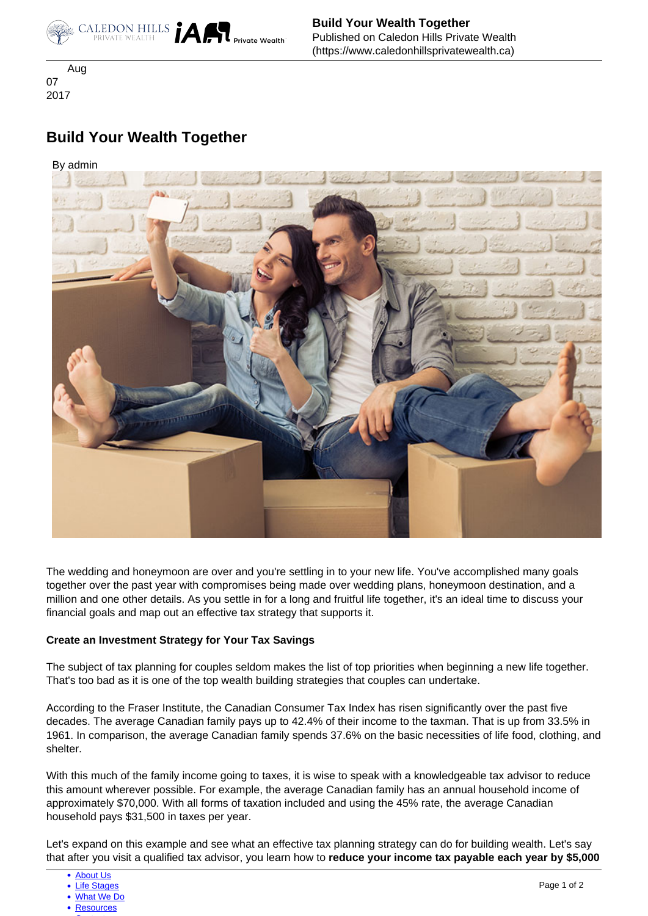

 Aug 07 2017

# **Build Your Wealth Together**

## By admin



The wedding and honeymoon are over and you're settling in to your new life. You've accomplished many goals together over the past year with compromises being made over wedding plans, honeymoon destination, and a million and one other details. As you settle in for a long and fruitful life together, it's an ideal time to discuss your financial goals and map out an effective tax strategy that supports it.

#### **Create an Investment Strategy for Your Tax Savings**

The subject of tax planning for couples seldom makes the list of top priorities when beginning a new life together. That's too bad as it is one of the top wealth building strategies that couples can undertake.

 According to the Fraser Institute, the Canadian Consumer Tax Index has risen significantly over the past five decades. The average Canadian family pays up to 42.4% of their income to the taxman. That is up from 33.5% in 1961. In comparison, the average Canadian family spends 37.6% on the basic necessities of life food, clothing, and shelter.

With this much of the family income going to taxes, it is wise to speak with a knowledgeable tax advisor to reduce this amount wherever possible. For example, the average Canadian family has an annual household income of approximately \$70,000. With all forms of taxation included and using the 45% rate, the average Canadian household pays \$31,500 in taxes per year.

Let's expand on this example and see what an effective tax planning strategy can do for building wealth. Let's say that after you visit a qualified tax advisor, you learn how to **reduce your income tax payable each year by \$5,000**

- [What We Do](https://www.caledonhillsprivatewealth.ca/what-we-do)
- [Resources](https://www.caledonhillsprivatewealth.ca/resources)  $\sim$  [Contact](https://www.caledonhillsprivatewealth.ca/contact-us)  $\sim$

<sup>•</sup> [Life Stages](https://www.caledonhillsprivatewealth.ca/life-stages)